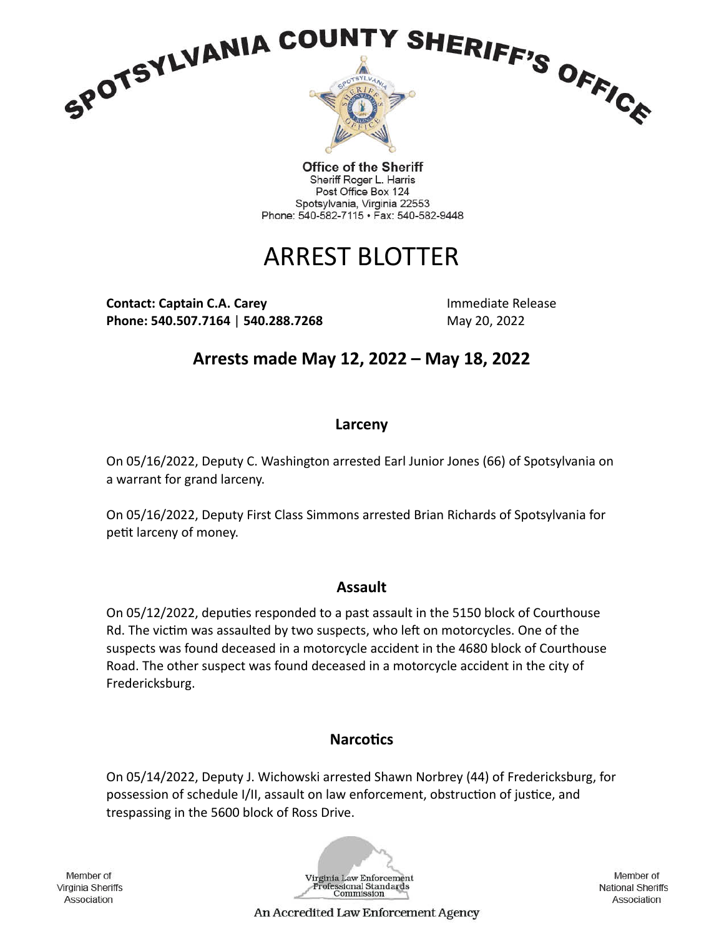

**Office of the Sheriff** Sheriff Roger L. Harris Post Office Box 124 Spotsylvania, Virginia 22553 Phone: 540-582-7115 · Fax: 540-582-9448

# ARREST BLOTTER

**Contact: Captain C.A. Carey and Contact: Captain C.A. Carey Activities Activities Activities Activities Activities Phone: 540.507.7164 | 540.288.7268** May 20, 2022

**Arrests made May 12, 2022 – May 18, 2022**

## **Larceny**

On 05/16/2022, Deputy C. Washington arrested Earl Junior Jones (66) of Spotsylvania on a warrant for grand larceny.

On 05/16/2022, Deputy First Class Simmons arrested Brian Richards of Spotsylvania for petit larceny of money.

## **Assault**

On 05/12/2022, deputies responded to a past assault in the 5150 block of Courthouse Rd. The victim was assaulted by two suspects, who left on motorcycles. One of the suspects was found deceased in a motorcycle accident in the 4680 block of Courthouse Road. The other suspect was found deceased in a motorcycle accident in the city of Fredericksburg.

## **Narcotics**

On 05/14/2022, Deputy J. Wichowski arrested Shawn Norbrey (44) of Fredericksburg, for possession of schedule I/II, assault on law enforcement, obstruction of justice, and trespassing in the 5600 block of Ross Drive.

Member of Virginia Sheriffs Association



Member of **National Sheriffs** Association

An Accredited Law Enforcement Agency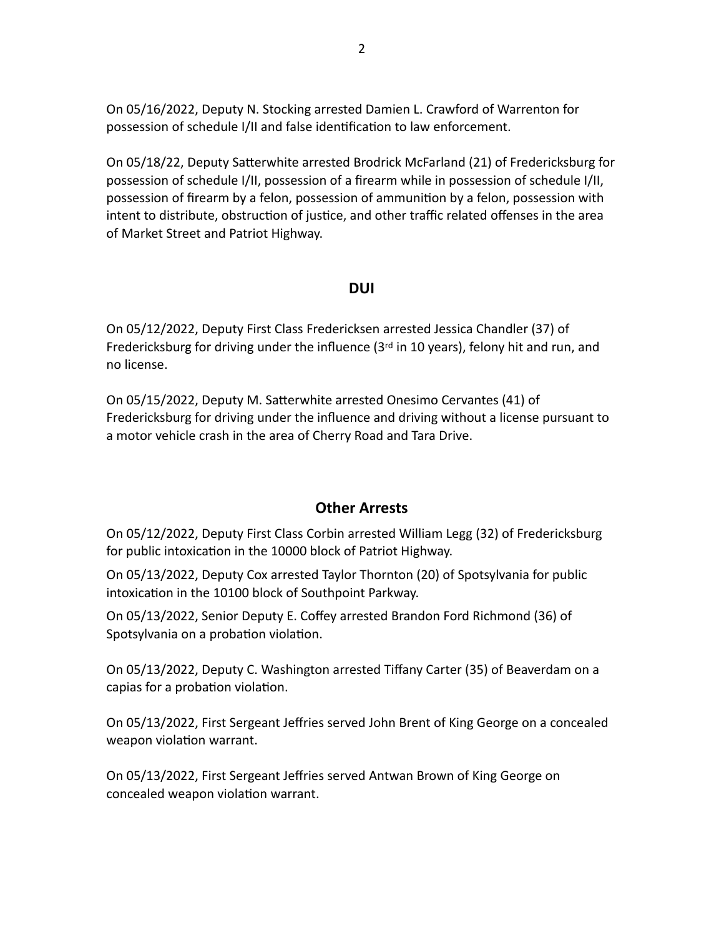On 05/16/2022, Deputy N. Stocking arrested Damien L. Crawford of Warrenton for possession of schedule I/II and false identification to law enforcement.

On 05/18/22, Deputy Satterwhite arrested Brodrick McFarland (21) of Fredericksburg for possession of schedule I/II, possession of a firearm while in possession of schedule I/II, possession of firearm by a felon, possession of ammunition by a felon, possession with intent to distribute, obstruction of justice, and other traffic related offenses in the area of Market Street and Patriot Highway.

#### **DUI**

On 05/12/2022, Deputy First Class Fredericksen arrested Jessica Chandler (37) of Fredericksburg for driving under the influence (3rd in 10 years), felony hit and run, and no license.

On 05/15/2022, Deputy M. Satterwhite arrested Onesimo Cervantes (41) of Fredericksburg for driving under the influence and driving without a license pursuant to a motor vehicle crash in the area of Cherry Road and Tara Drive.

#### **Other Arrests**

On 05/12/2022, Deputy First Class Corbin arrested William Legg (32) of Fredericksburg for public intoxication in the 10000 block of Patriot Highway.

On 05/13/2022, Deputy Cox arrested Taylor Thornton (20) of Spotsylvania for public intoxication in the 10100 block of Southpoint Parkway.

On 05/13/2022, Senior Deputy E. Coffey arrested Brandon Ford Richmond (36) of Spotsylvania on a probation violation.

On 05/13/2022, Deputy C. Washington arrested Tiffany Carter (35) of Beaverdam on a capias for a probation violation.

On 05/13/2022, First Sergeant Jeffries served John Brent of King George on a concealed weapon violation warrant.

On 05/13/2022, First Sergeant Jeffries served Antwan Brown of King George on concealed weapon violation warrant.